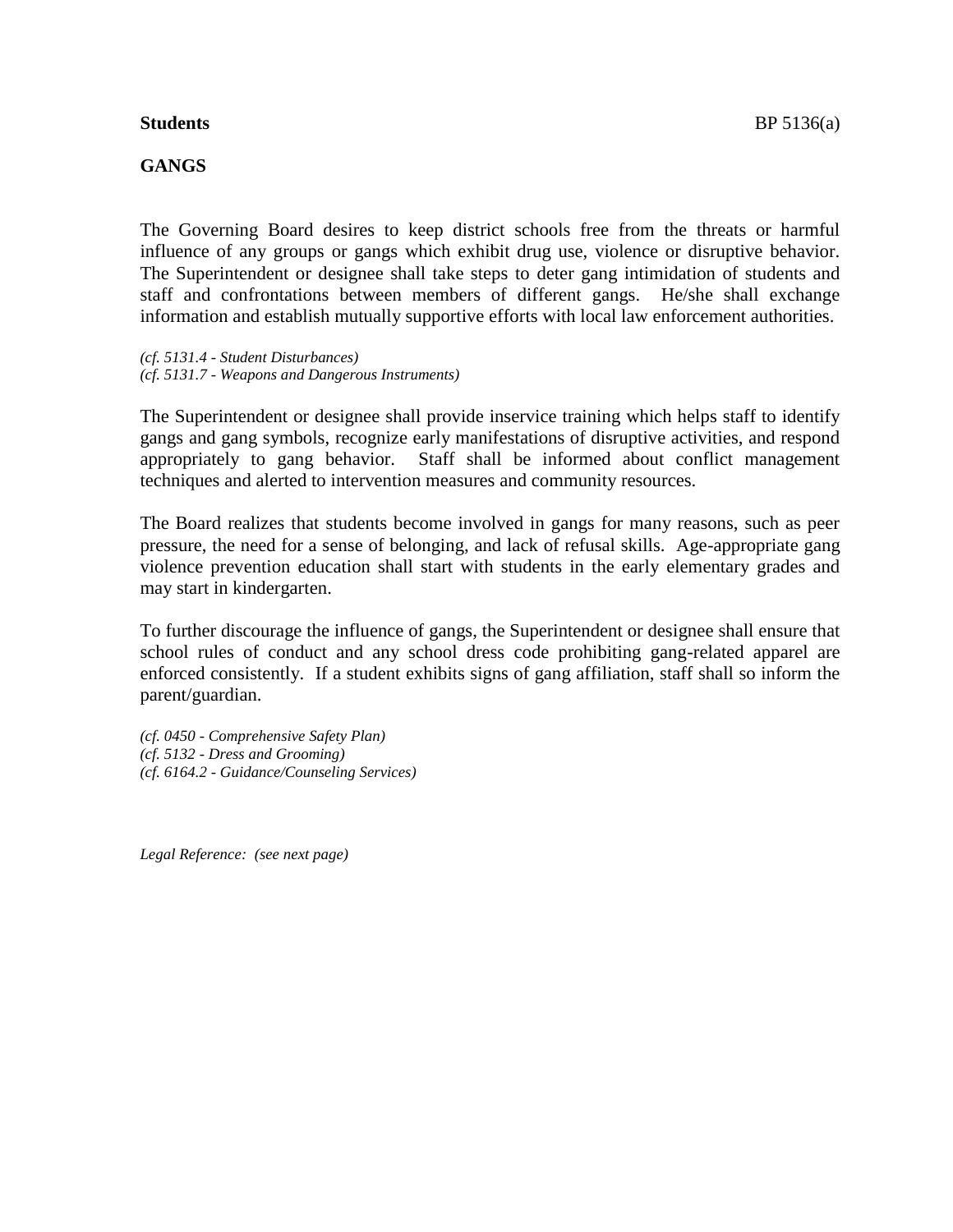#### **GANGS**

The Governing Board desires to keep district schools free from the threats or harmful influence of any groups or gangs which exhibit drug use, violence or disruptive behavior. The Superintendent or designee shall take steps to deter gang intimidation of students and staff and confrontations between members of different gangs. He/she shall exchange information and establish mutually supportive efforts with local law enforcement authorities.

*(cf. 5131.4 - Student Disturbances) (cf. 5131.7 - Weapons and Dangerous Instruments)*

The Superintendent or designee shall provide inservice training which helps staff to identify gangs and gang symbols, recognize early manifestations of disruptive activities, and respond appropriately to gang behavior. Staff shall be informed about conflict management techniques and alerted to intervention measures and community resources.

The Board realizes that students become involved in gangs for many reasons, such as peer pressure, the need for a sense of belonging, and lack of refusal skills. Age-appropriate gang violence prevention education shall start with students in the early elementary grades and may start in kindergarten.

To further discourage the influence of gangs, the Superintendent or designee shall ensure that school rules of conduct and any school dress code prohibiting gang-related apparel are enforced consistently. If a student exhibits signs of gang affiliation, staff shall so inform the parent/guardian.

*(cf. 0450 - Comprehensive Safety Plan) (cf. 5132 - Dress and Grooming) (cf. 6164.2 - Guidance/Counseling Services)*

*Legal Reference: (see next page)*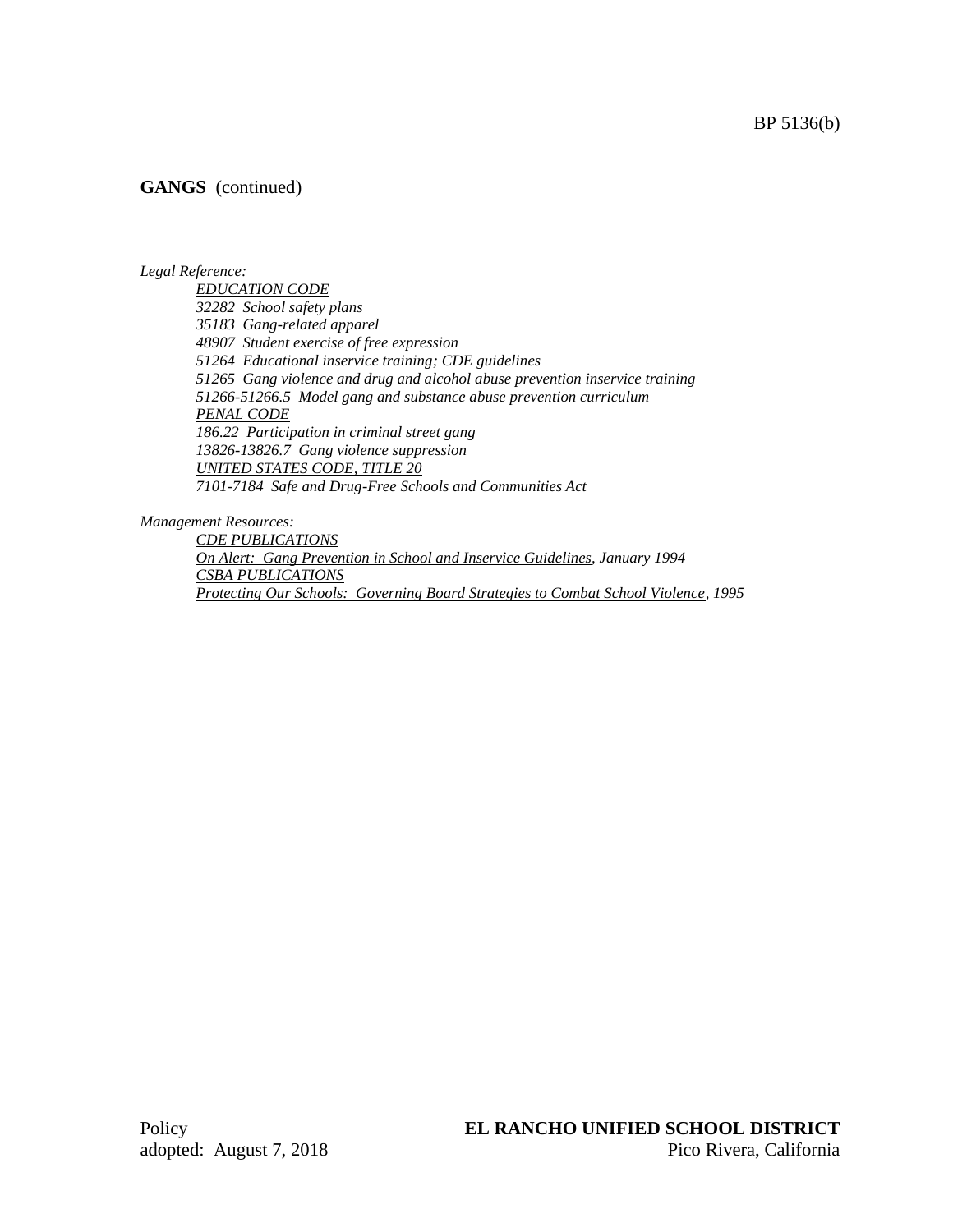#### **GANGS** (continued)

#### *Legal Reference:*

*EDUCATION CODE 32282 School safety plans 35183 Gang-related apparel 48907 Student exercise of free expression 51264 Educational inservice training; CDE guidelines 51265 Gang violence and drug and alcohol abuse prevention inservice training 51266-51266.5 Model gang and substance abuse prevention curriculum PENAL CODE 186.22 Participation in criminal street gang 13826-13826.7 Gang violence suppression UNITED STATES CODE, TITLE 20 7101-7184 Safe and Drug-Free Schools and Communities Act*

*Management Resources:*

*CDE PUBLICATIONS On Alert: Gang Prevention in School and Inservice Guidelines, January 1994 CSBA PUBLICATIONS Protecting Our Schools: Governing Board Strategies to Combat School Violence, 1995*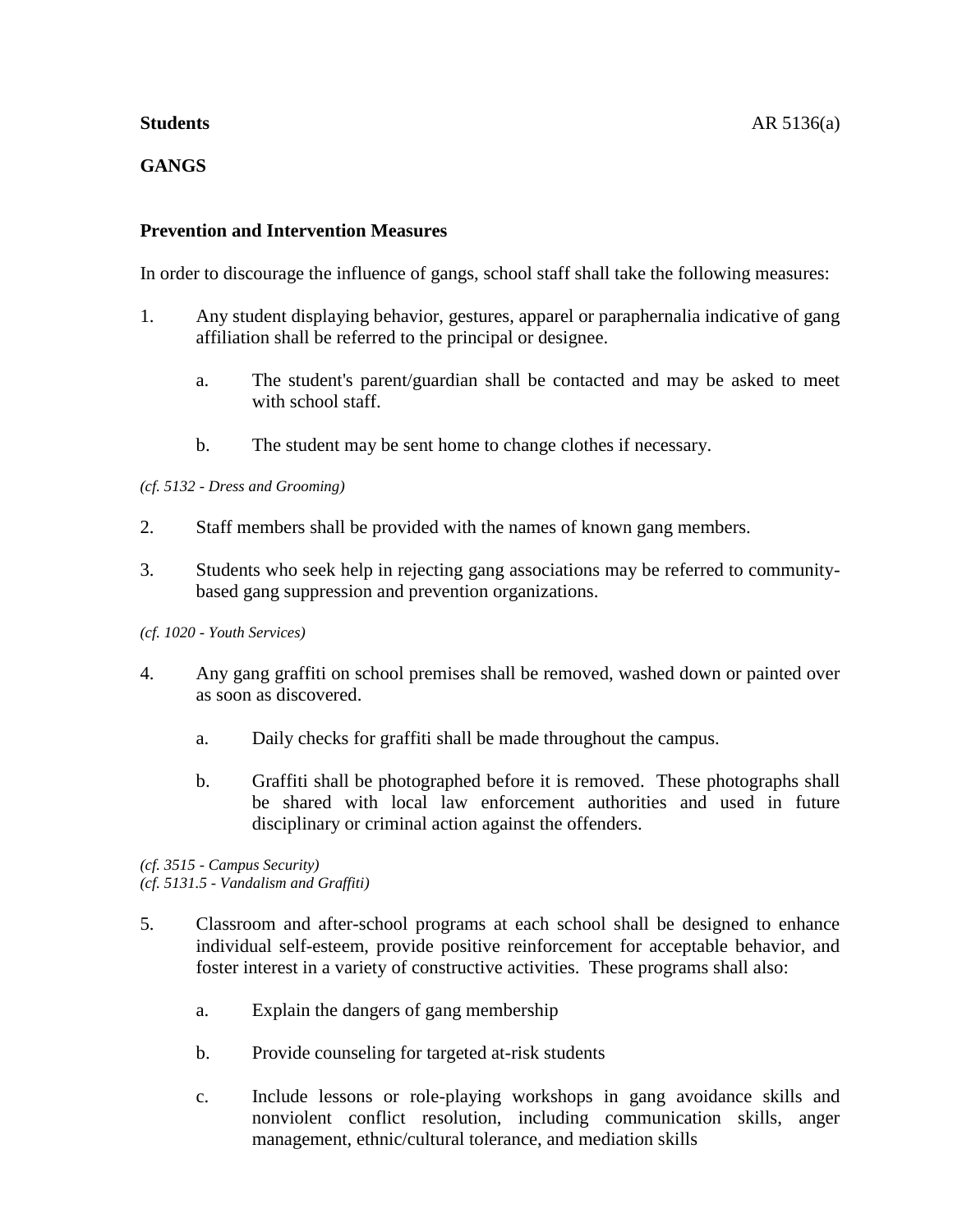# **GANGS**

# **Prevention and Intervention Measures**

In order to discourage the influence of gangs, school staff shall take the following measures:

- 1. Any student displaying behavior, gestures, apparel or paraphernalia indicative of gang affiliation shall be referred to the principal or designee.
	- a. The student's parent/guardian shall be contacted and may be asked to meet with school staff.
	- b. The student may be sent home to change clothes if necessary.

### *(cf. 5132 - Dress and Grooming)*

- 2. Staff members shall be provided with the names of known gang members.
- 3. Students who seek help in rejecting gang associations may be referred to communitybased gang suppression and prevention organizations.

#### *(cf. 1020 - Youth Services)*

- 4. Any gang graffiti on school premises shall be removed, washed down or painted over as soon as discovered.
	- a. Daily checks for graffiti shall be made throughout the campus.
	- b. Graffiti shall be photographed before it is removed. These photographs shall be shared with local law enforcement authorities and used in future disciplinary or criminal action against the offenders.

*(cf. 3515 - Campus Security) (cf. 5131.5 - Vandalism and Graffiti)*

- 5. Classroom and after-school programs at each school shall be designed to enhance individual self-esteem, provide positive reinforcement for acceptable behavior, and foster interest in a variety of constructive activities. These programs shall also:
	- a. Explain the dangers of gang membership
	- b. Provide counseling for targeted at-risk students
	- c. Include lessons or role-playing workshops in gang avoidance skills and nonviolent conflict resolution, including communication skills, anger management, ethnic/cultural tolerance, and mediation skills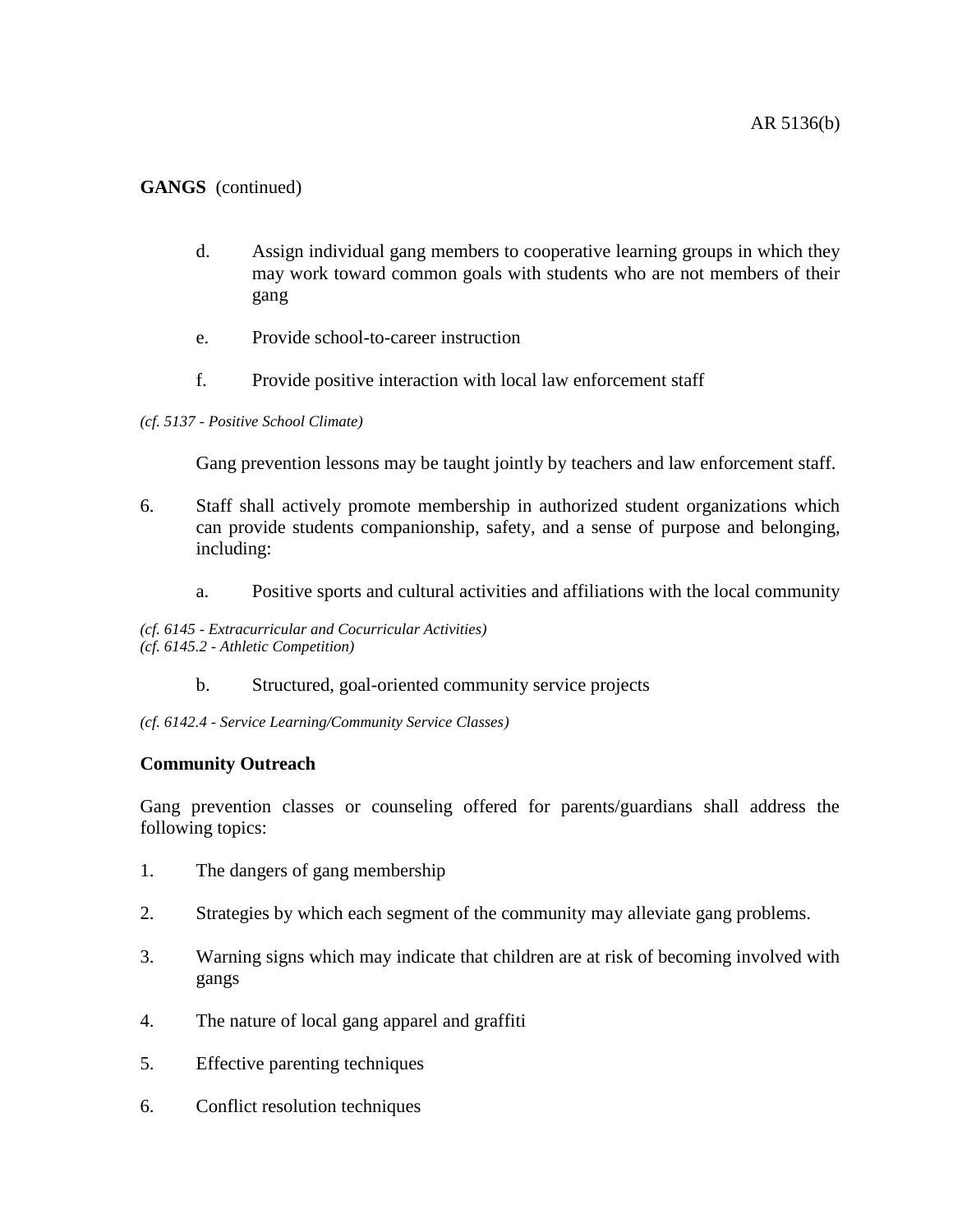# **GANGS** (continued)

- d. Assign individual gang members to cooperative learning groups in which they may work toward common goals with students who are not members of their gang
- e. Provide school-to-career instruction
- f. Provide positive interaction with local law enforcement staff

#### *(cf. 5137 - Positive School Climate)*

Gang prevention lessons may be taught jointly by teachers and law enforcement staff.

- 6. Staff shall actively promote membership in authorized student organizations which can provide students companionship, safety, and a sense of purpose and belonging, including:
	- a. Positive sports and cultural activities and affiliations with the local community

*(cf. 6145 - Extracurricular and Cocurricular Activities) (cf. 6145.2 - Athletic Competition)*

b. Structured, goal-oriented community service projects

*(cf. 6142.4 - Service Learning/Community Service Classes)*

### **Community Outreach**

Gang prevention classes or counseling offered for parents/guardians shall address the following topics:

- 1. The dangers of gang membership
- 2. Strategies by which each segment of the community may alleviate gang problems.
- 3. Warning signs which may indicate that children are at risk of becoming involved with gangs
- 4. The nature of local gang apparel and graffiti
- 5. Effective parenting techniques
- 6. Conflict resolution techniques